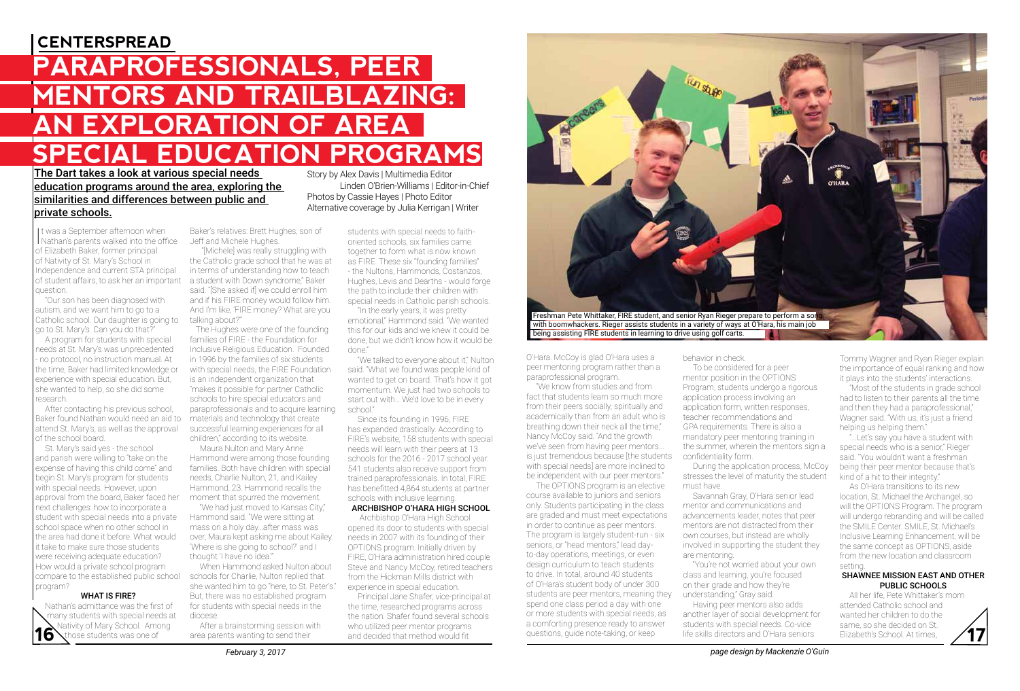## **CENTERSPREAD**

# **PARAPROFESSIONALS, PEER MENTORS AND TRAILBLAZING: AN EXPLORATION OF AREA SPECIAL EDUCATION PROGRAMS**

### The Dart takes a look at various special needs education programs around the area, exploring the similarities and differences between public and private schools.

It was a September afternoon when<br>Nathan's parents walked into the office t was a September afternoon when of Elizabeth Baker, former principal of Nativity of St. Mary's School in Independence and current STA principal of student affairs, to ask her an important a student with Down syndrome," Baker question.

 "Our son has been diagnosed with autism, and we want him to go to a Catholic school. Our daughter is going to go to St. Mary's. Can you do that?"

 A program for students with special needs at St. Mary's was unprecedented - no protocol, no instruction manual. At the time, Baker had limited knowledge or experience with special education. But, she wanted to help, so she did some research.

 After contacting his previous school, Baker found Nathan would need an aid to attend St. Mary's, as well as the approval of the school board.

 St. Mary's said yes - the school and parish were willing to "take on the expense of having this child come" and begin St. Mary's program for students with special needs. However, upon approval from the board, Baker faced her next challenges: how to incorporate a student with special needs into a private school space when no other school in the area had done it before. What would it take to make sure those students were receiving adequate education? How would a private school program compare to the established public school program?

#### WHAT IS FIRE?

Those students was one of area parents wanting to send their and decided that method would fit questions, guide note-taking, or keep life skills directors and O'Hara seniors Elizabeth's School. At times, Nathan's admittance was the first of many students with special needs at **16** Nativity of Mary School. Among<br>**16** Nthose students was one of those students was one of

Baker's relatives: Brett Hughes, son of Jeff and Michele Hughes.

 "[Michele] was really struggling with the Catholic grade school that he was at in terms of understanding how to teach said. "[She asked if] we could enroll him and if his FIRE money would follow him. And I'm like, 'FIRE money? What are you talking about?'"

 The Hughes were one of the founding families of FIRE - the Foundation for Inclusive Religious Education. Founded in 1996 by the families of six students with special needs, the FIRE Foundation is an independent organization that "makes it possible for partner Catholic schools to hire special educators and paraprofessionals and to acquire learning school." materials and technology that create successful learning experiences for all children," according to its website.

 Maura Nulton and Mary Anne Hammond were among those founding families. Both have children with special needs, Charlie Nulton, 21, and Kailey Hammond, 23. Hammond recalls the moment that spurred the movement.

 "We had just moved to Kansas City," Hammond said. "We were sitting at mass on a holy day...after mass was over, Maura kept asking me about Kailey. 'Where is she going to school?' and I thought 'I have no idea.'"

 When Hammond asked Nulton about schools for Charlie, Nulton replied that she wanted him to go "here, to St. Peter's." But, there was no established program for students with special needs in the diocese.

 After a brainstorming session with area parents wanting to send their

Story by Alex Davis | Multimedia Editor Linden O'Brien-Williams | Editor-in-Chief Photos by Cassie Hayes | Photo Editor Alternative coverage by Julia Kerrigan | Writer

> students with special needs to faithoriented schools, six families came together to form what is now known as FIRE. These six "founding families" - the Nultons, Hammonds, Costanzos, Hughes, Levis and Dearths - would forge the path to include their children with special needs in Catholic parish schools.

 "In the early years, it was pretty emotional," Hammond said. "We wanted this for our kids and we knew it could be done, but we didn't know how it would be done."

 "We talked to everyone about it," Nulton said. "What we found was people kind of wanted to get on board. That's how it got momentum. We just had two schools to start out with… We'd love to be in every

 Since its founding in 1996, FIRE has expanded drastically. According to FIRE's website, 158 students with special needs will learn with their peers at 13 schools for the 2016 - 2017 school year. 541 students also receive support from trained paraprofessionals. In total, FIRE has benefitted 4,864 students at partner schools with inclusive learning.

### ARCHBISHOP O'HARA HIGH SCHOOL

 Archbishop O'Hara High School opened its door to students with special needs in 2007 with its founding of their OPTIONS program. Initially driven by FIRE, O'Hara administration hired couple Steve and Nancy McCoy, retired teachers from the Hickman Mills district with experience in special education.

 Principal Jane Shafer, vice-principal at the time, researched programs across the nation. Shafer found several schools who utilized peer mentor programs and decided that method would fit



O'Hara. McCoy is glad O'Hara uses a peer mentoring program rather than a paraprofessional program.

 "We know from studies and from fact that students learn so much more from their peers socially, spiritually and academically than from an adult who is breathing down their neck all the time," Nancy McCoy said. "And the growth we've seen from having peer mentors... is just tremendous because [the students confidentiality form. with special needs] are more inclined to be independent with our peer mentors."

 The OPTIONS program is an elective course available to juniors and seniors only. Students participating in the class are graded and must meet expectations in order to continue as peer mentors. The program is largely student-run - six seniors, or "head mentors," lead dayto-day operations, meetings, or even design curriculum to teach students to drive. In total, around 40 students of O'Hara's student body of under 300 students are peer mentors, meaning they spend one class period a day with one or more students with special needs, as a comforting presence ready to answer questions, guide note-taking, or keep

#### behavior in check.

 To be considered for a peer mentor position in the OPTIONS Program, students undergo a rigorous application process involving an application form, written responses, teacher recommendations and GPA requirements. There is also a mandatory peer mentoring training in the summer, wherein the mentors sign a

 During the application process, McCoy stresses the level of maturity the student must have.

 Savannah Gray, O'Hara senior lead mentor and communications and advancements leader, notes that peer mentors are not distracted from their own courses, but instead are wholly involved in supporting the student they are mentoring.

 "You're not worried about your own class and learning, you're focused on their grade and how they're understanding," Gray said.

 Having peer mentors also adds another layer of social development for students with special needs. Co-vice life skills directors and O'Hara seniors

Tommy Wagner and Ryan Rieger explain the importance of equal ranking and how it plays into the students' interactions.

 "Most of the students in grade school had to listen to their parents all the time and then they had a paraprofessional," Wagner said. "With us, it's just a friend helping us helping them."

 "...Let's say you have a student with special needs who is a senior," Rieger said. "You wouldn't want a freshman being their peer mentor because that's kind of a hit to their integrity."

 As O'Hara transitions to its new location, St. Michael the Archangel, so will the OPTIONS Program. The program will undergo rebranding and will be called the SMILE Center. SMILE, St. Michael's Inclusive Learning Enhancement, will be the same concept as OPTIONS, aside from the new location and classroom setting.

#### SHAWNEE MISSION EAST AND OTHER PUBLIC SCHOOLS

 All her life, Pete Whittaker's mom attended Catholic school and wanted her children to do the same, so she decided on St. Elizabeth's School. At times,